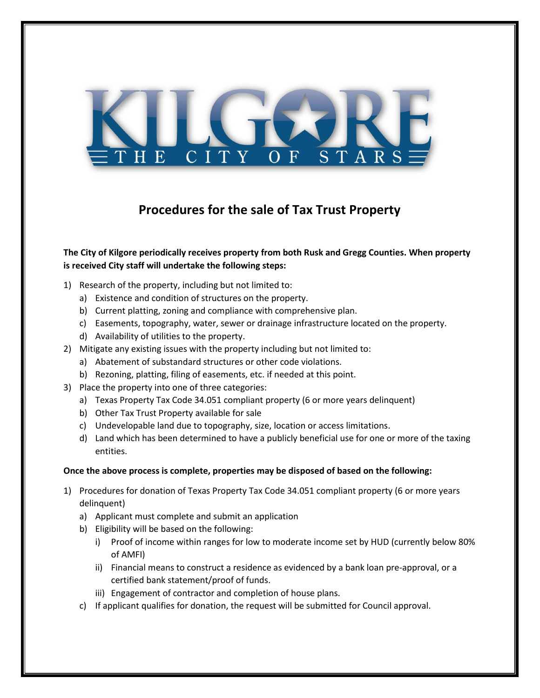

## **Procedures for the sale of Tax Trust Property**

## **The City of Kilgore periodically receives property from both Rusk and Gregg Counties. When property is received City staff will undertake the following steps:**

- 1) Research of the property, including but not limited to:
	- a) Existence and condition of structures on the property.
	- b) Current platting, zoning and compliance with comprehensive plan.
	- c) Easements, topography, water, sewer or drainage infrastructure located on the property.
	- d) Availability of utilities to the property.
- 2) Mitigate any existing issues with the property including but not limited to:
	- a) Abatement of substandard structures or other code violations.
	- b) Rezoning, platting, filing of easements, etc. if needed at this point.
- 3) Place the property into one of three categories:
	- a) Texas Property Tax Code 34.051 compliant property (6 or more years delinquent)
	- b) Other Tax Trust Property available for sale
	- c) Undevelopable land due to topography, size, location or access limitations.
	- d) Land which has been determined to have a publicly beneficial use for one or more of the taxing entities.

## **Once the above process is complete, properties may be disposed of based on the following:**

- 1) Procedures for donation of Texas Property Tax Code 34.051 compliant property (6 or more years delinquent)
	- a) Applicant must complete and submit an application
	- b) Eligibility will be based on the following:
		- i) Proof of income within ranges for low to moderate income set by HUD (currently below 80% of AMFI)
		- ii) Financial means to construct a residence as evidenced by a bank loan pre-approval, or a certified bank statement/proof of funds.
		- iii) Engagement of contractor and completion of house plans.
	- c) If applicant qualifies for donation, the request will be submitted for Council approval.